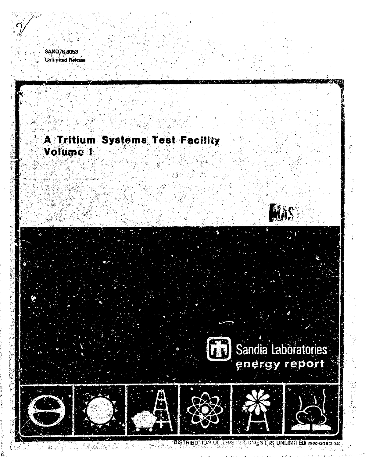

البيتين

# A Tritium Systems Test Facility Volume 1

**HAS** 

**(1)** Sandia Laboratories

**DESERT** 



DISTRIBUTION OF THIS DOCUMENT IS UNLIMITED 2900-008(3-74) SS ROMAN 20 E. E.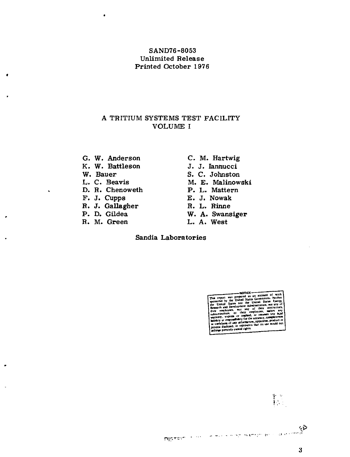### SAND76-8053 Unlimited Release Printed October 1976

### A TRITIUM SYSTEMS TEST FACILITY VOLUME I

- G. W. Anderson C. M. Hartwig<br>
K. W. Battleson J. J. Jannucci
- K. W. Battleson<br>W. Bauer
- 
- 
- D. R. Chenoweth **P. L. Matter**<br>F. J. Cupps **E. J. Nowak**
- 
- F. J. Cupps E. J. Nowak<br>R. J. Gallagher R. L. Rinne R. J. Gallagher<br>P. D. Gildea
- 
- 
- 
- 
- W. Bauer S. C. Johnston<br>
L. C. Beavis M. E. Malinow
	- M. E. Malinowski<br>P. L. Mattern
	-
	-
	-
- P. D. Gildea W. A. Swansiger<br>R. M. Green L. A. West
	- L. A. West

Sandia Laboratories

.<br>md. at 8 disclosed. or<br>prestely own

allacció el esposizione del co

怪。

توع and come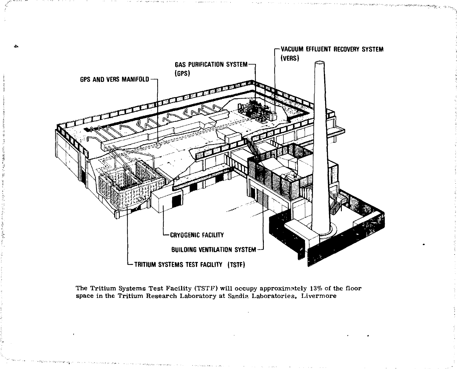

The Tritium Systems Test Facility (TSTF) will occupy approximately 13% of the floor space in the Tritium Research Laboratory at Sandia Laboratories, Livermore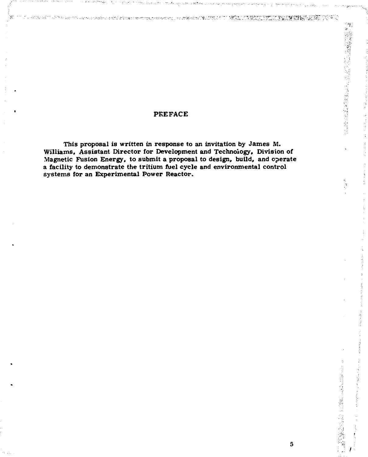### **PREFACE**

tanda di katika terkeli pa ki tirahasa yang di sama serikali yang di T

**This proposal is written in response to an invitation by James M. Williams, Assistant Director for Development and Technology, Division of Magnetic Fusion Energy, to submit a proposal to design, build, and operate a facility to demonstrate the tritium fuel cycle and environmental control systems for an Experimental Power Reactor.** 

**MELLIMATIVE RELEVANS 22 KV SU** 

e<br>S

医骨质病毒 医输出性 医血管神经病毒 计标准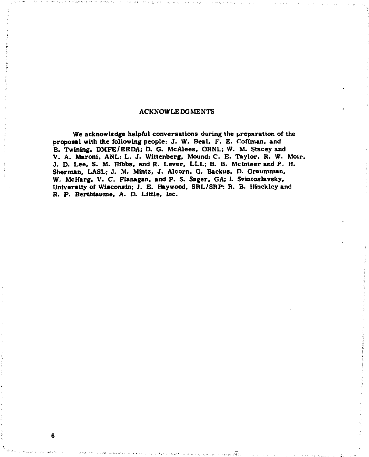### **ACKNOWLEDGMENTS**

**We acknowledge helpful conversations during the preparation of the proposal with the following people: J. W. Beat. F. E. Cofftnan, and B. Twining, DMFE/ERDA: D. G. McAlees. ORNL; W. M. Stacey and V. A. Maront. ANL; L. J. Wittenberg. Mound; C. E. Taylor. R. W. Moir. J. D. Lee. S. M. Hibbs, and R. Lever, LLL; B. B. Mclnteer and R. H. Sherman, LASL; J. M. Mints, J. Alcorn. G. Backus, D. Graumman, W. McHarg, V. C. Flanagan, and P. S. Sager. GA; 1- Sviatoslavsky. University of Wisconsin; J. E. Haywood, SRL/SRP; R. B. Hinckley and R. P. Berthiaume, A. D. Little, Inc.** 

**6**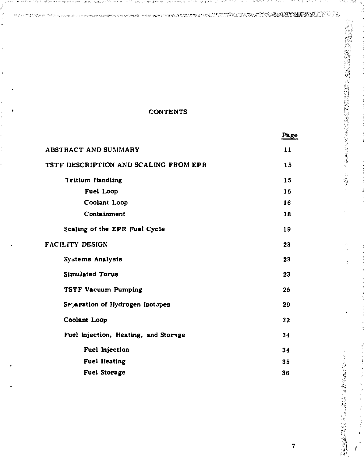### **CONTENTS**

a

|                                       | Page |
|---------------------------------------|------|
| <b>ABSTRACT AND SUMMARY</b>           | 11   |
| TSTF DESCRIPTION AND SCALING FROM EPR | 15   |
| <b>Tritium Handling</b>               | 15   |
| Fuel Loop                             | 15   |
| Coolant Loop                          | 16   |
| Containment                           | 18   |
| Scaling of the EPR Fuel Cycle         | 19   |
| <b>FACILITY DESIGN</b>                | 23   |
| Systems Analysis                      | 23   |
| <b>Simulated Torus</b>                | 23   |
| <b>TSTF Vacuum Pumping</b>            | 25   |
| Se aration of Hydrogen Isotopes       | 29   |
| Coolant Loop                          | 32   |
| Fuel Injection, Heating, and Storage  | 34   |
| Fuel Injection                        | 34   |
| <b>Fuel Heating</b>                   | 35   |
| <b>Fuel Storage</b>                   | 36   |

 $\overline{7}$ 

Ý,

2009年5月4日, 1999年1月, 1999年1月, 1999年1月, 1999年1月, 1999年1月, 1999年1月,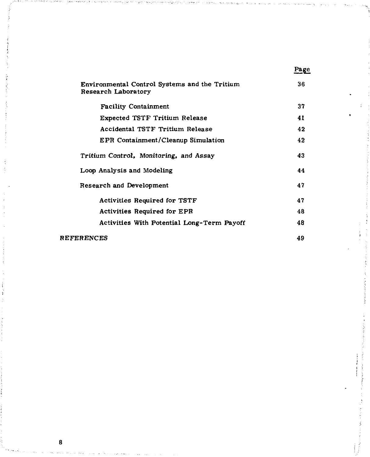| Environmental Control Systems and the Tritium<br>Research Laboratory | 36 |
|----------------------------------------------------------------------|----|
| <b>Facility Containment</b>                                          | 37 |
| <b>Expected TSTF Tritium Release</b>                                 | 41 |
| Accidental TSTF Tritium Release                                      | 42 |
| EPR Containment/Cleanup Simulation                                   | 42 |
| Tritium Control, Monitoring, and Assay                               | 43 |
| Loop Analysis and Modeling                                           | 44 |
| Research and Development                                             | 47 |
| <b>Activities Required for TSTF</b>                                  | 47 |
| <b>Activities Required for EPR</b>                                   | 48 |
| Activities With Potential Long-Term Payoff                           | 48 |
| <b>REFERENCES</b>                                                    | 49 |

**8** 

### Page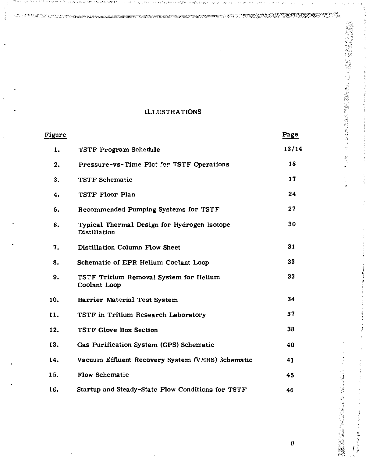### **ILLUSTRATIONS**

*<:^^^^v^ ^* 

j.

 $\frac{1}{2}$ 

| <b>Figure</b> |                                                             | Page  |
|---------------|-------------------------------------------------------------|-------|
| 1.            | TSTF Program Schedule                                       | 13/14 |
| 2.            | Pressure-vs-Time Plct for TSTF Operations                   | 16    |
| 3.            | <b>TSTF Schematic</b>                                       | 17    |
| 4.            | TSTF Floor Plan                                             | 24    |
| 5.            | Recommended Pumping Systems for TSTF                        | 27    |
| 6.            | Typical Thermal Design for Hydrogen Isotope<br>Distillation | 30    |
| 7.            | <b>Distillation Column Flow Sheet</b>                       | 31    |
| 8.            | Schematic of EPR Helium Coclant Loop                        | 33    |
| 9.            | TSTF Tritium Removal System for Helium<br>Coolant Loop      | 33    |
| 10.           | Barrier Material Test System                                | 34    |
| 11.           | TSTF in Tritium Research Laboratory                         | 37    |
| 12.           | <b>TSTF Glove Box Section</b>                               | 38    |
| 13.           | Gas Purification System (GPS) Schematic                     | 40    |
| 14.           | Vacuum Effluent Recovery System (VERS) Schematic            | 41    |
| 15.           | Flow Schematic                                              | 45    |
| 16.           | Startup and Steady-State Flow Conditions for TSTF           | 46    |

 $\pmb{9}$ 

**m < 12 mm = 12 mm = 12 mm = 12 mm = 12 mm = 12 mm = 12 mm = 12 mm = 12 mm = 12 mm = 12 mm = 12 mm = 12 mm = 1** 

2008年10月20日には、1月10日に、1月20日に1月20日に1月20日に1月20日に1月20日に1月20日に1月1日に1月2日に1月20日に1月20日に1月20日に1月20日に1月20日に1月2

 $\delta$ 

 $\frac{1}{2}$ 

*i i.* 

the country of the country of the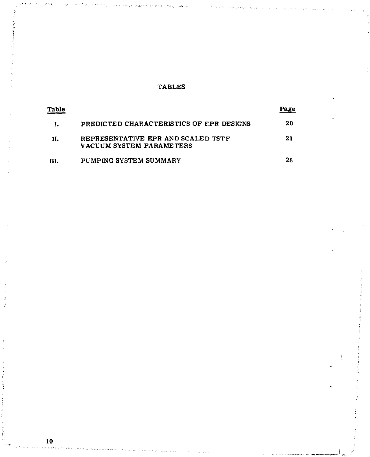### **TABLES**

| Table |                                                                | Page |
|-------|----------------------------------------------------------------|------|
|       | PREDICTED CHARACTERISTICS OF EPR DESIGNS                       | 20   |
| н.    | REPRESENTATIVE EPR AND SCALED TSTF<br>VACUUM SYSTEM PARAMETERS | 21   |
| HI.   | PUMPING SYSTEM SUMMARY                                         | 28   |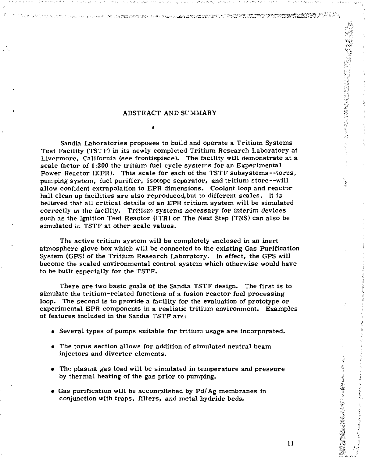$\bullet$ 

ter borgstag datviselsen kontektoren van de skap vid Saldary von de die Solomonie Suid-Afrika.<br>Se ook

ABSTRACT AND SUMMARY<br>
Superior of the SUMMARY<br>
Superior of the SUMMARY<br>
Superior of the SUMMARY<br>
Superior of the SUMMARY<br>
Superior of the SUMMARY<br>
Superior of the SUMMARY<br>
Superior of the SUMMARY<br>
Superior of the SUMMARY<br> Sandia Laboratories proposes to build and operate a Tritium Systems Test Facility (TSTF) in its newly completed Tritium Research Laboratory at Livermore, California (see frontispiece). The facility will demonstrate at a scale factor of 1:200 the tritium fuel cycle systems for an Experimental Power Reactor (EPR). This scale for each of the TSTF subsystems—torus, pumping system, fuel purifier, isotope separator, and tritium store—will allow confident extrapolation to EPR dimensions. Coolant loop and reactor hall clean up facilities are also reproduced.but to different scales. It is believed that all critical details of an EPR tritium system will be simulated correctly in the facility. Tritium systems necessary for interim devices such as the Ignition Test Reactor (ITR) or The Next Step (TNS) can also be simulated *u.* TSTF at other scale values.

The active tritium system will be completely enclosed in an inert atmosphere glove box which will be connected to the existing Gas Purification System (GPS) of the Tritium Research Laboratory. In effect, the GPS will become the scaled environmental control system which otherwise would have to be built especially for the TSTF.

There are two basic goals of the Sandia TSTF design. The first is to simulate the tritium-related functions of a fusion reactor fuel processing loop. The second is to provide a facility for the evaluation of prototype or experimental EPR components in a realistic tritium environment. Examples of features included in the Sandia TSTF art :

- Several types of pumps suitable for tritium usage are incorporated.
- The torus section allows for addition of simulated neutral beam injectors and diverter elements.
- The plasma gas load will be simulated in temperature and pressure by thermal heating of the gas prior to pumping.
- Gas purification will be accomplished by Pd/Ag membranes in conjunction with traps, filters, and metal hydride beds.

 $\frac{d}{dt}$ 

 $\frac{1}{2}$ 

**在大学生的情绪上述的问题,我们的问题,我们的问题,我们**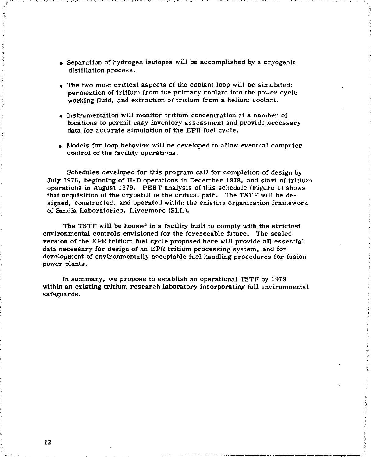- Separation of hydrogen isotopes will be accomplished by a cryogenic distillation process.
- The two most critical aspects of the coolant loop will be simulated: permeation of tritium from the primary coolant into the power cycle working fluid, and extraction of tritium from a helium coolant.
- Instrumentation will monitor tritium concentration at a number of locations to permit easy inventory assessment and provide necessary data for accurate simulation of the EPR fuel cycle.
- Models for loop behavior will be developed to allow eventual computer control of the facility operations.

Schedules developed for this program call for completion of design by July 1978, beginning of H-D operations in December 1978, and start of tritium operations in August 1979. PERT analysis of this schedule (Figure 1) shows that acquisition of the cryostill is the critical path. The TSTF will be designed, constructed, and operated within the existing organization framework of Sandia Laboratories, Livermore (SLL).

The TSTF will be housed in a facility built to comply with the strictest environmental controls envisioned for the foreseeable future. The scaled version of the EPR tritium fuel cycle proposed here will provide all essential data necessary for design of an EPR tritium processing system, and for development of environmentally acceptable fuel handling procedures for fusion power plants.

In summary, we propose to establish an operational TSTF by 1979 within an existing tritium research laboratory incorporating full environmental safeguards.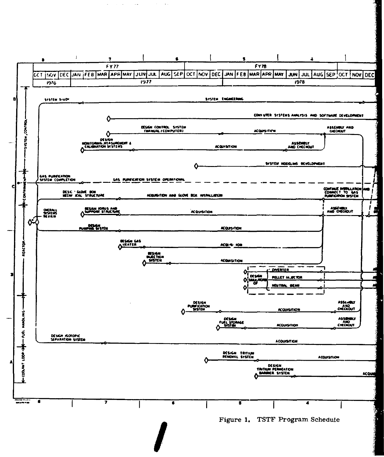

 $\mathcal{L}$  $\sim$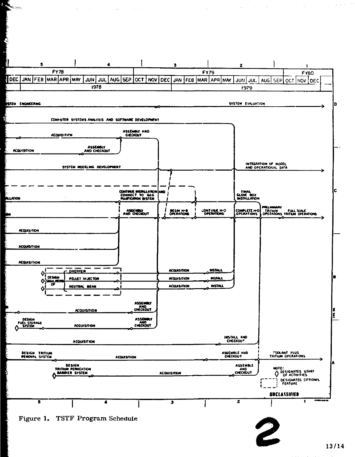

人 ينجاه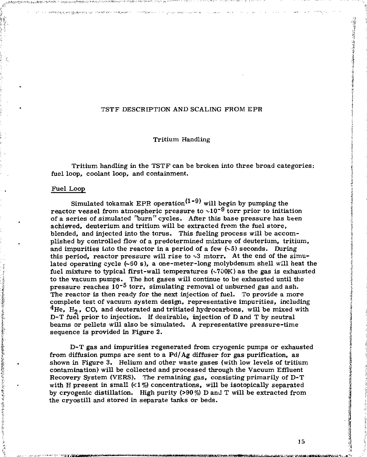### TSTF DESCBIPTION AND SCALING FROM EPR

Tritium Handling

Tritium handling in the TSTF can be broken into three broad categories: fuel loop, coolant loop, and containment.

#### Fuel Loop

不在学校のあると、不可可能になることをある あいあいち

Simulated tokamak EPR operation<sup>(1-9)</sup> will begin by pumping the reactor vessel from atmospheric pressure to  $\sim 10^{-9}$  torr prior to initiation of a series of simulated "burn" cycles. After this base pressure has been achieved, deuterium and tritium will be extracted from the fuel store, blended, and injected into the torus. This fueling process will be accomplished by controlled flow of a predetermined mixture of deuterium, tritium, and impurities into the reactor in a period of a few  $(\sim 5)$  seconds. During this period, reactor pressure will rise to  $\sim$ 3 mtorr. At the end of the simulated operating cycle (~S0 s), a one-meter-long molybdenum shell will heat the fuel mixture to typical first-wall temperatures  $(\sqrt{700K})$  as the gas is exhausted to the vacuum pumps. The hot gases will continue to be exhausted until the pressure reaches  $10^{-5}$  torr, simulating removal of unburned gas and ash. The reactor is then ready for the next injection of fuel. To provide a more complete test of vacuum system design, representative impurities, including  $4$ He, H<sub>2</sub>, CO, and deuterated and tritiated hydrocarbons, will be mixed with D-T fuel prior to injection. If desirable, injection of D and T by neutral beams or pellets will also be simulated. A representative pressure-time sequence is provided in Figure 2.

D-T gas and impurities regenerated from cryogenic pumps or exhausted from diffusion pumps are sent to a Pd/Ag diffuser for gas purification, as shown in Figure 3. Helium and other waste gases (with low levels of tritium contamination) will be collected and processed through the Vacuum Effluent Recovery System (VERS). The remaining gas, consisting primarily of D-T with H present in small  $\langle 1\% \rangle$  concentrations, will be isotopically separated by cryogenic distillation. High purity (>90 %) D and T will be extracted from the cryostill and stored in separate tanks or beds.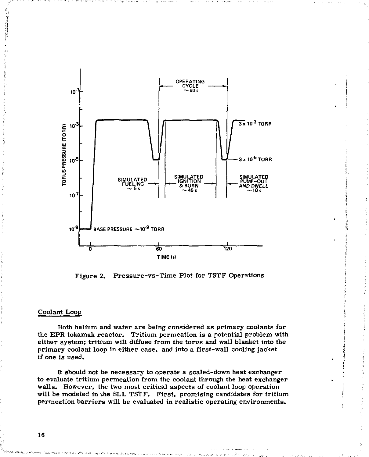

Figure 2. Pressure-vs-Time Plot for TSTF Operations

### Coolant Loop

Both helium and water are being considered as primary coolants for the EPR tokamak reactor. Tritium permeation is a potential problem with either system; tritium will diffuse from the torus and wall blanket into the primary coolant loop in either case, and into a first-wall cooling jacket if one is used.

It should not be necessary to operate a scaled-down heat exchanger to evaluate tritium permeation from the coolant through the heat exchanger walls. However, the two most critical aspects of coolant loop operation will be modeled in vhe SLL TSTF. First, promising candidates for tritium permeation barriers will be evaluated in realistic operating environments.

16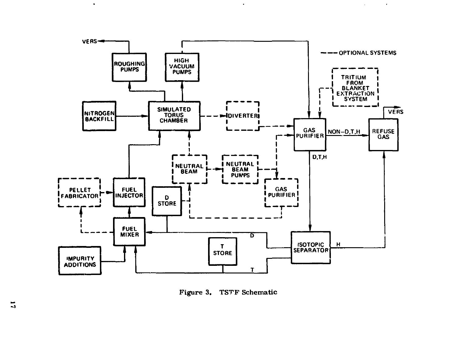

 $\bullet$ 

 $\sim$ 

 $\sim 100$ 

Figure 3. TSTF Schematic

 $\bullet$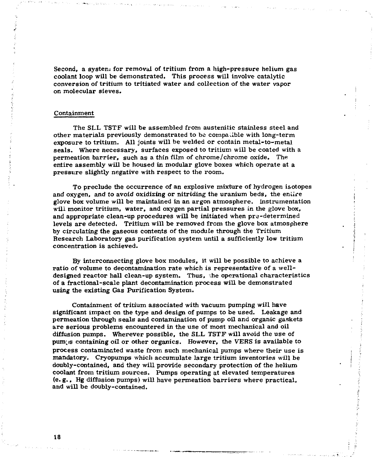Second, a system for removal of tritium from a high-pressure helium gas coolant loop will be demonstrated. This process will involve catalytic conversion of tritium to tritiated water and collection of the water vapor on molecular sieves.

### Containment

The SLL TSTF will be assembled from austenitic stainless steel and other materials previously demonstrated to be compatible with long-term exposure to tritium. All joints will be welded or contain metal-to-metal seals. Where necessary, surfaces exposed to tritium will be coated with a permeation barrier, such as a thin film of chrome/chrome oxide. The entire assembly will be housed in modular glove boxes which operate at a pressure slightly negative with respect to the room.

To preclude the occurrence of an explosive mixture of hydrogen isotopes and oxygen, and *to* avoid oxidizing or nitriding the uranium beds, the entire glove box volume will be maintained in an argon atmosphere. Instrumentation will monitor tritium, water, and oxygen partial pressures in the glove box, and appropriate clean-up procedures will be initiated when pre-determined levels are detected. Tritium will be removed from the glove box atmosphere by circulating the gaseous contents of the module through the Tritium Research Laboratory gas purification system until a sufficiently low tritium concentration is achieved.

By interconnecting glove box modules, it will be possible to achieve a ratio of volume to decontamination rate which is representative of a welldesigned reactor hall clean-up system. Thus, the operational characteristics of a fractional-scale plant decontamination process will be demonstrated using the existing Gas Purification System.

Containment of tritium associated with vacuum pumping will have significant impact on the type and design of pumps to be used. Leakage and permeation through seals and contamination of pump oil and organic gaskets are serious problems encountered in the use of most mechanical and oil diffusion pumps. Wherever possible, the SLL TSTF will avoid the use of pum is containing oil or other organics. However, the VERS is available to process contaminated waste from such mechanical pumps where their use is mandatory. Cryopumps which accumulate large tritium inventories will be doubly-contained, and they will provide secondary protection of the helium coolant from tritium sources. Pumps operating at elevated temperatures (e. g., Hg diffusion pumps) will have permeation barriers where practical, and will be doubly-contained.

18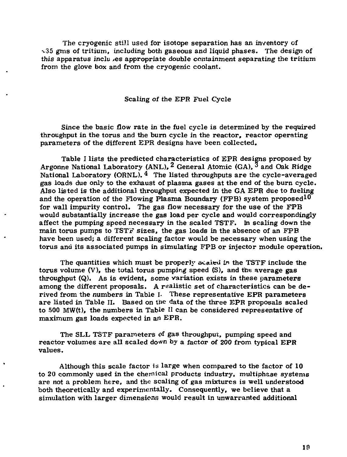The cryogenic still used for isotope separation has an inventory of  $\sim$ 35 gms of tritium, including both gaseous and liquid phases. The design of this apparatus inclu >es appropriate double containment separating the tritium from the glove box and from the cryogenic coolant.

Scaling of the EPR Fuel Cycle

Since the basic flow rate in the fuel cycle is determined by the required throughput in the torus and the burn cycle in the reactor, reactor operating parameters of the different EPR designs have been collected.

Table I lists the predicted characteristics of EPR designs proposed by Argonne National Laboratory (ANL), <sup>2</sup> General Atomic (GA),  $3$  and Oak Ridge National Laboratory (ORNL),  $\frac{4}{1}$  The listed throughputs are the cycle-averaged gas loads due only to the exhaust of plasma gases at the end of the burn cycle. Also listed is the additional throughput expected in the GA EPR due to fueling and the operation of the Flowing Plasma Boundary (FPB) system proposed  $10$ for wall impurity control. The gas flow necessary for the use of the FPB would substantially increase the gas load per cycle and would correspondingly affect the pumping speed necessary in the scaled TSTF. In scaling down the main torus pumps to TSTF sizes, the gas loads in the absence of an FPB have been used; a different scaling factor would be necessary when using the torus and its associated pumps in simulating FPB or injector module operation.

The quantities which must be properly scaled in the TSTF include the torus volume  $(V)$ , the total torus pumping speed  $(S)$ , and the average gas throughput (Q). As is evident, some variation exists in these parameters among the different proposals. A realistic set of characteristics can be derived from the numbers in Table I. These representative EPR parameters are listed in Table II. Based on the data of the three EPR proposals scaled to 500 MW(t), the numbers in Table II can be considered representative of maximum gas loads expected in an EPR.

The SLL TSTF parameters of gas throughput, pumping speed and reactor volumes are all scaled down by a factor of 200 from typical EPR values.

Although this scale factor is large when compared to the factor of  $10$ to 20 commonly used in the chemical products industry, multiphase systems are not a problem here, and the scaling of gas mixtures is well understood both theoretically and experimentally. Consequently, we believe that a simulation with larger dimensions would result in unwarranted additional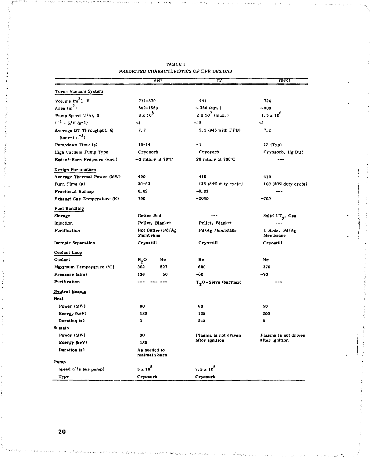|                                               |                                             | ANL                    | GÄ                               | ORNL                      |  |
|-----------------------------------------------|---------------------------------------------|------------------------|----------------------------------|---------------------------|--|
| Torus Vacuum System                           |                                             |                        |                                  |                           |  |
| Volume $(m^3)$ , V                            | 711-879                                     |                        | 441                              | 724                       |  |
| Area $(m2)$                                   | $-350$ (est.)<br>592-1528                   |                        |                                  | $-800$                    |  |
| Pump Speed (1/s), S                           | $8 \times 10^{5}$<br>$2 \times 10^7$ (max.) |                        |                                  | $1.5 \times 10^{6}$       |  |
| $7 - 1 - S/V (e-1)$                           | -1                                          |                        | $-45$                            | $\mathbf{L}$              |  |
| Average DT Throughput, Q<br>$(torr-f s^{-1})$ | 7. 7                                        |                        | 5.1 (945 with FPB)               | 7.2                       |  |
| Pumpdown Time (s)                             | $10 - 14$                                   |                        | $-1$                             | 12 (Тур)                  |  |
| High Vacuum Pump Type                         | Cryosorb                                    |                        | Cryosorb                         | Cryosorb, Hg Diff         |  |
| End-of-Burn Pressure (torr)                   |                                             | $\sim$ 3 mtorr at 70°C | 20 mtorr at 700°C                |                           |  |
| Design Parameters                             |                                             |                        |                                  |                           |  |
| Average Thermal Power (MW)                    | 400                                         |                        | 410                              | 410                       |  |
| Burn Time (s)                                 | $30 - 90$                                   |                        | 125 (84% duty cycle)             | 100 (50% duty cycle)      |  |
| <b>Fractional Burnup</b>                      | 0.02                                        |                        | $-0.03$                          |                           |  |
| Exhaust Gas Temperature (K)                   | 700                                         |                        | $-2000$                          | $-700$                    |  |
| Fuel Handling                                 |                                             |                        |                                  |                           |  |
| Storage                                       | Getter Bed                                  |                        | ---                              | Solid $UT_{3}$ , Gas      |  |
| Injection                                     | Pellet, Blanket                             |                        | Pellet, Blanket                  |                           |  |
| Purification                                  | Hot Getter/Pd/Ag<br>Membrane                |                        | Pd/Ag Membrane                   | U Beds, Pd/Ag<br>Membrane |  |
| Inotopic Separation                           | Cryostill                                   |                        | Cryostill                        | Cryostill                 |  |
| Coolant Loop                                  |                                             |                        |                                  |                           |  |
| Coolant                                       | н,о                                         | He                     | He                               | He                        |  |
| Maximum Temperature (°C)                      | 302                                         | 527                    | 600                              | 370                       |  |
| Pressure (atm)                                | 136                                         | 50                     | ~60                              | $-70$                     |  |
| Purification                                  | ---                                         |                        | T <sub>9</sub> O-Sieve (barrier) |                           |  |
| Neutral Beams<br>Heat                         |                                             |                        |                                  |                           |  |
| Power (MW)                                    | 60                                          |                        | 60                               | 50                        |  |
| Energy (keV)                                  | 180                                         |                        | 125                              | 200                       |  |
| Duration (s)                                  | 3                                           |                        | $2 - 3$                          | 5                         |  |
| Sustain                                       |                                             |                        |                                  |                           |  |
| Power (MW)                                    | 30                                          |                        | Plasma is not driven             | Plasma is not driven      |  |
| Energy (keV)                                  | 180                                         |                        | after ignition                   | after ignition            |  |
| Duration (a)                                  | As needed to<br>maintain burn               |                        |                                  |                           |  |
| Fump                                          |                                             |                        |                                  |                           |  |
| Speed (//s per pump)                          | $5 \times 10^5$                             |                        | $7.5 \times 10^5$                |                           |  |
| Type                                          | Cryosorb                                    |                        | Cryosorb                         |                           |  |

| TABLE I                                  |  |  |
|------------------------------------------|--|--|
| PREDICTED CHARACTERISTICS OF EPR DESIGNS |  |  |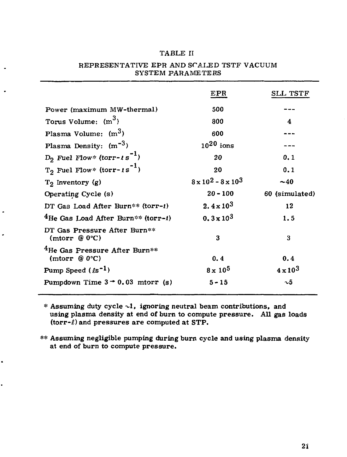### TABLE II

|                                                      | EPR                             | <b>SLL TSTF</b>   |
|------------------------------------------------------|---------------------------------|-------------------|
| Power (maximum MW-thermal)                           | 500                             |                   |
| Torus Volume: $(m^3)$                                | 800                             | 4                 |
| Plasma Volume: (m <sup>3</sup> )                     | 600                             |                   |
| Plasma Density: $(m^{-3})$                           | $10^{20}$ ions                  |                   |
| $D_2$ Fuel Flow* (torr- $\iota s^{-1}$ )             | 20                              | 0.1               |
| $T_2$ Fuel Flow* (torr-1s <sup>-1</sup> )            | 20                              | 0.1               |
| $T_2$ Inventory $(g)$                                | $8 \times 10^2 - 8 \times 10^3$ | ~10               |
| Operating Cycle (s)                                  | $20 - 100$                      | 60 (simulated)    |
| DT Gas Load After Burn** (torr-!)                    | $2.4 \times 10^{3}$             | 12                |
| $^4$ He Gas Load After Burn** (torr- <i>t</i> )      | $0.3 \times 10^3$               | 1.5               |
| DT Gas Pressure After Burn**<br>(mtorr $@0°C$ )      | 3                               | 3                 |
| $^4$ He Gas Pressure After Burn**<br>(mtorr $@0°C$ ) | 0.4                             | 0.4               |
| $\rm Pump$ Speed ( $\ell$ s $^{-1}$ )                | $8 \times 10^5$                 | $4 \times 10^{3}$ |
| Pumpdown Time $3 - 0.03$ mtorr (g)                   | $5 - 15$                        | $\sim\!\!5$       |
|                                                      |                                 |                   |

 $\cdot$ 

### REPRESENTATIVE EPR AND SCALED TSTF VACUUM SYSTEM PARAMETERS

 $*$  Assuming duty cycle  $\sim$ 1, ignoring neutral beam contributions, and using plasma density at end of burn to compute pressure. All gas loads  $(torr-\ell)$  and pressures are computed at STP.

\*\* Assuming negligible pumping during burn cycle and using plasma density at end of burn to compute pressure .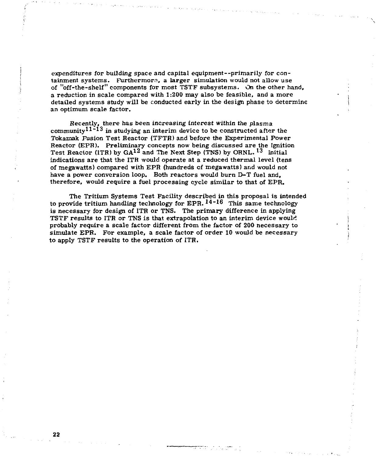expenditures for building space and capital equipment—primarily for containment systems. Furthermore, a larger simulation would not allow use of "off-the-shelf" components for most TSTP subsystems. On the other hand, a reduction in scale compared with 1:200 may also be feasible, and a more detailed systems study will be conducted early in the design phase to determine an optimum scale factor.

Recently, there has been increasing interest within the plasma community<sup>11 $\text{11}^{\text{2}}$  in studying an interim device to be constructed after the</sup> Tokamak Fusion Test Reactor (TFTR) and before the Experimental Power Reactor (EPR). Preliminary concepts now being discussed are the Ignition Test Reactor (ITR) by  $GA^{12}$  and The Next Step (TNS) by ORNL.  $^{13}$  Initial indications are that the ITR would operate at a reduced thermal level (tens of megawatts) compared with EPR (hundreds of megawatts) and would not have a power conversion loop. Both reactors would burn D-T fuel and, therefore, would require a fuel processing cycle similar to that of EPR.

The Tritium Systems Test Facility described in this proposal is intended to provide tritium handling technology for EPR.  $^{14-16}$  This same technology is necessary for design of ITR or TNS. The primary difference in applying TSTF results to ITR or TNS is that extrapolation to an interim device would probably require a scale factor different from the factor of 200 necessary to simulate EPR. For example, a scale factor of order 10 would be necessary to apply TSTF results to the operation of ITR.

**22**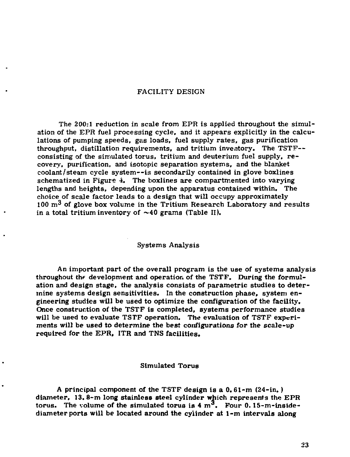### **FACILITY DESIGN**

**The 200:1 reduction in scale from EPR is applied throughout the simulation of the EPR fuel processing cycle, and it appears explicitly in the calculations of pumping speeds, gas loads, fuel supply rates, gas purification throughput, distillation requirements, and tritium inventory. The TSTF consisting of the simulated torus, tritium and deuterium fuel supply, re covery, purification, and isotopic separation systems, and the blanket coolant/steam cycle system—is secondarily contained in glove boxlines**  schematized in Figure 4. The boxlines are compartmented into varying lengths and heights, depending upon the apparatus contained within. The **choice of scale factor leads to a design that will occupy approximately 100 m^ of glove box volume in the Tritium Research Laboratory and results in a total tritium inventory of ~40 grams (Table II).** 

### **Systems Analysis**

**An important part of the overall program is the use of systems analysis throughout** *thr* **development and operation of the TSTF. During the formulation and design stage, the analysis consists of parametric studies to determine systems design sensitivities. In the construction phase, system engineering studies will be used to optimize the configuration of the facility. Once construction of the TSTF is completed, systems performance studies will be used to evaluate TSTF operation. The evaluation of TSTF experiments will be used to determine the best configurations for the scale-up required for the EPR, ITR and TNS facilities.** 

### **Simulated Torus**

**A principal component of the TSTF design is a 0. 61-m (24-in.) diameter, 13. 8-m long stainless steel cylinder which represents the EPR**  torus. The volume of the simulated torus is  $4 \text{ m}^3$ . Four  $0.15\text{-}m\text{-}inside$ **diameter ports will be located around the cylinder at 1-m intervals along**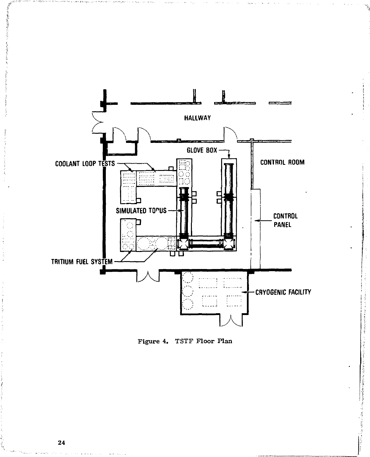

Figure 4. TSTF Floor Plan

「大きいのからのある」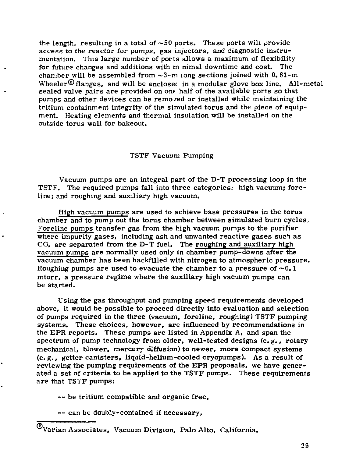the length, resulting in a total of  $~50$  ports. These ports will provide access to the reactor for pumps, gas injectors, and diagnostic instrumentation. This large number of ports allows a maximum of flexibility for future changes and additions with m nimal downtime and cost. The chamber will be assembled from  $\sim$ 3-m long sections joined with 0.61-m Wheeler<sup> $\circledR$ </sup> flanges, and will be enclosed in a modular glove box line. All-metal sealed valve pairs are provided on one half of the available ports so that pumps and other devices can be removed or installed while maintaining the tritium containment integrity of the simulated torus and the piece of equipment. Heating elements and thermal insulation will be installed on the outside torus wall for bakeout.

### TSTF Vacuum Pumping

Vacuum pumps are an integral part of the D-T processing loop in the TSTF. The required pumps fall into three categories: high vacuum; foreline; and roughing and auxiliary high vacuum.

High vacuum pumps are used to achieve base pressures in the torus chamber and to pump out the torus chamber between simulated burn cycles.. Foreline pumps transfer gas from the high vacuum punps to the purifier where impurity gases, including ash and unwanted reactive gases such as  $CO<sub>n</sub>$  are separated from the D-T fuel. The roughing and auxiliary high vacuum pumps are normally used only in chamber pump-downs after the vacuum chamber has been backfilled with nitrogen to atmospheric pressure . Roughing pumps are used to evacuate the chamber to a pressure of  $\sim 0.1$ mtorr, a pressure regime where the auxiliary high vacuum pumps can be started.

Using the gas throughput and pumping speed requirements developed above, it would be possible to proceed directly into evaluation and selection of pumps required in the three (vacuum, foreline, roughing) TSTF pumping systems. These choices, however, are influenced by recommendations in the EPR reports. These pumps are listed in Appendix A, and span the spectrum of pump technology from older, well-tested designs (e.g., rotary mechanical, blower, mercury diffusion) to newer, more compact systems (e.g., getter canisters, liquid -helium-cooled cryopumps). As a result of reviewing the pumping requirements of the EPR proposals, we have generated a set of criteria to be applied to the TSTF pumps. These requirements are that TSTF pumps:

— be tritium compatible and organic free,

— can be doub'y-contained if necessary,

Varian Associates, Vacuum Division, Palo Alto, California.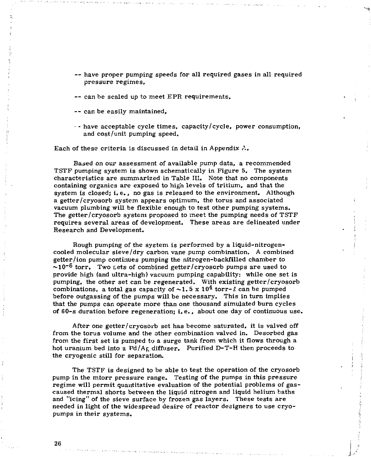- -- have proper pumping speeds for all required gases in all required pressure regimes,
- can be scaled up to meet EPR requirements,
- can be easily maintained,
- $\cdot$  have acceptable cycle times, capacity/cycle, power consumption, and cost/unit pumping speed.

Each of these criteria is discussed in detail in Appendix  $A_{\bullet}$ .

Based on our assessment of available pump data, a recommended TSTF pumping system is shown schematically in Figure 5, The system characteristics are summarized in Table III. Note that no components containing organics are exposed to high levels of tritium, and that the system is closed; i.e., no gas is released to the environment. Although a getter/cryosorb system appears optimum, the torus and associated vacuum plumbing will be flexible enough to test other pumping systems. The getter/cryosorb system proposed to meet the pumping needs of TSTF requires several areas of development. These areas are delineated under Research and Development.

Rough pumping of the system is performed by a liquid-nitrogencooled molecular sieve/dry carbon vane pump combination. A combined getter/ion pump continues pumping the nitrogen-backfilled chamber to  $\sim$ 10<sup>-6</sup> torr. Two sets of combined getter/cryosorb pumps are used to provide high (and ultra-high) vacuum pumping capability: while one set is pumping, the other set can be regenerated. With existing getter/cryosorb combinations, a total gas capacity of  $\sim$ 1.5 x 10<sup>4</sup> torr- $\ell$  can be pumped before outgassing of the pumps will be necessary. This in turn implies that the pumps can operate more than one thousand simulated burn cycles of 60-s duration before regeneration; i. e. , about one day of continuous use.

After one getter/cryosorb set has become saturated, it is valved off from the torus volume and the other combination valved in. Desorbed gas from the first set is pumped to a surge tank from which it flows through a hot uranium bed into a  $Pd/Ag$ , diffuser. Purified D-T-H then proceeds to the cryogenic still for separation.

The TSTF is designed to be able to test the operation of the cryosorb pump in the mtorr pressure range. Testing of the pumps in this pressure regime will permit quantitative evaluation of the potential problems of gascaused thermal shorts between the liquid nitrogen and liquid helium baths and "icing" of the sieve surface by frozen gas layers. These tests are needed in light of the widespread desire of reactor designers to use cryopumps in their systems.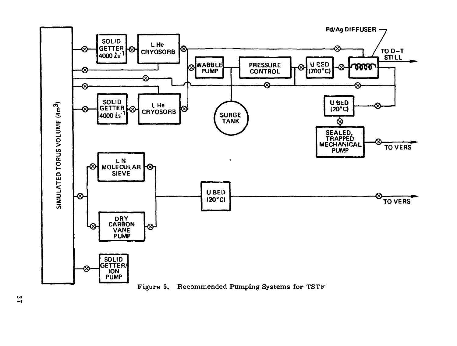

Recommended Pumping Systems for TSTF Figure 5.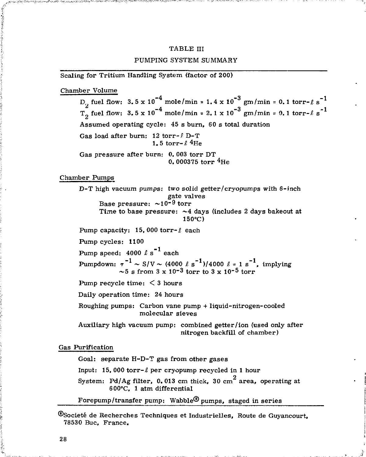## TABLE III PUMPING SYSTEM SUMMARY

Scaling for Tritium Handling System (factor of 200)

Chamber Volume

, fuel flow:  $3.5 \times 10^{-4}$  mole/min =  $1.4 \times 10^{-3}$  gm/min =  $0.1$  torr- $\ell$  s<sup>-1</sup>  $D_2$  fuel flow:  $3.5 \times 10^{-4}$  mole/min = 1.4  $\times 10^{-4}$  gm/min <sub>2</sub> fuel flow:  $3.5 \times 10^{-4}$  mole/min =  $2.1 \times 10^{-3}$  gm/min =  $0.1$  torr- $\ell$  s<sup>\*1</sup>  $\frac{1}{2}$  functions and  $\frac{1}{2}$  are  $\frac{1}{2}$  and  $\frac{1}{2}$  are  $\frac{1}{2}$  are  $\frac{1}{2}$  are  $\frac{1}{2}$  are  $\frac{1}{2}$  are  $\frac{1}{2}$  are  $\frac{1}{2}$  are  $\frac{1}{2}$  are  $\frac{1}{2}$  are  $\frac{1}{2}$  are  $\frac{1}{2}$  are  $\frac{1}{2}$  are Assumed operating cycle: 45 s burn, 60 s total duration Gas load after burn: 12 torr-£ D-T 1.5 torr- $\ell$ <sup>4</sup>He Gas pressure after burn: 0. 003 torr DT 0. 000375 torr <sup>4</sup>He

Chamber Pumps

D-T high vacuum pumps: two solid getter/cryopumps with 6-inch gate valves Base pressure:  $\sim 10^{-9}$  torr Time to base pressure:  $\sim$  4 days (includes 2 days bakeout at 150°C)

Pump capacity: 15,000 torr- $\ell$  each

Pump cycles: 1100

Pump speed:  $4000 \ell s^{-1}$  each

Pumpdown:  $\tau^{-1} \sim S/V \sim (4000 \ell s^{-1})/4000 \ell = 1 s^{-1}$ , implying  $\sim$ 5 s from 3 x 10<sup>-3</sup> torr to 3 x 10<sup>-5</sup> torr

Pump recycle time: < 3 hours

Daily operation time: 24 hours

Roughing pumps: Carbon vane pump + liquid-nitrogen-cooled molecular sieves

Auxiliary high vacuum pump: combined getter/ion (used only after nitrogen backfill of chamber)

Gas Purification

Goal: separate H-D-T gas from other gases

Input: 15,000 torr- $\ell$  per cryopump recycled in 1 hour

System: Pd/Ag filter, 0.013 cm thick, 30 cm<sup>2</sup> area, operating at 600°C, 1 atm differential

Fore pump/transfer pump: Wabble<sup>®</sup> pumps, staged in series

<sup>®</sup>Societé de Recherches Techniques et Industrielles, Route de Guyancourt, 78530 Buc, France.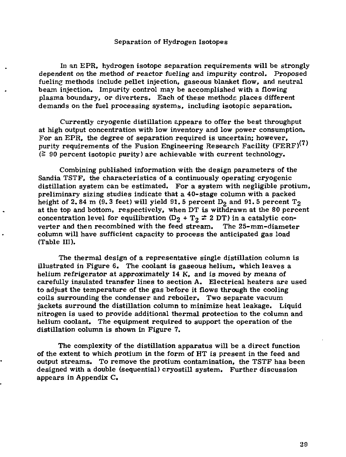### Separation of Hydrogen Isotopes

In an EPR, hydrogen isotope separation requirements will be strongly dependent on the method of reactor fueling and impurity control. Proposed fueling methods include pellet injection, gaseous blanket flow, and neutral beam injection. Impurity control may be accomplished with a flowing plasma boundary, or diverters. Each of these methods places different demands on the fuel processing systems, including isotopic separation.

Currently cryogenic distillation appears to offer the best throughput at high output concentration with low inventory and low power consumption. For an EPR, the degree of separation required is uncertain; however, purity requirements of the Fusion Engineering Research Facility (FERF) $^{(i)}$  $\approx$  90 percent isotopic purity) are achievable with current technology.

Combining published information with the design parameters of the Sandia TSTF, the characteristics of a continuously operating cryogenic distillation system can be estimated. For a system with negligible protium, preliminary sizing studies indicate that a 40-stage column with a packed height of 2.84 m (9.3 feet) will yield 91.5 percent  $\mathrm{D}_2$  and 91.5 percent  $\mathrm{T}_2$ at the top and bottom, respectively, when DT is withdrawn at the 80 percent concentration level for equilibration (D<sub>2</sub> + T<sub>2</sub>  $\neq$  2 DT) in a catalytic converter and then recombined with the feed stream. The 25-mm-diameter column will have sufficient capacity to process the anticipated gas load (Table III).

The thermal design of a representative single distillation column is illustrated in Figure 6. The coolant is gaseous helium, which leaves a helium refrigerator at approximately  $14$  K, and is moved by means of carefully insulated transfer lines to section A. Electrical heaters are used to adjust the temperature of the gas before it flows through the cooling coils surrounding the condenser and reboiler. Two separate vacuum jackets surround the distillation column to minimize heat leakage. Liquid nitrogen is used to provide additional thermal protection to the column and helium coolant. The equipment required to support the operation of the distillation column is shown in Figure 7.

The complexity of the distillation apparatus will be a direct function of the extent to which protium in the form of HT is present in the feed and output streams. To remove the protium contamination, the TSTF has been designed with a double (sequential) cryostill system. Further discussion appears in Appendix C.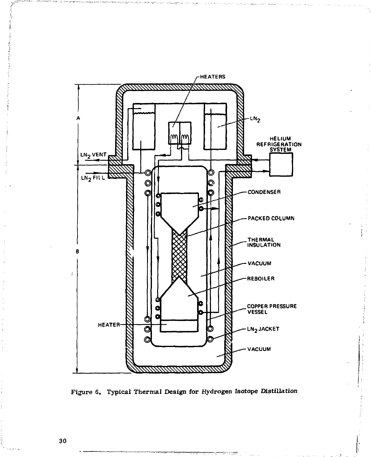

Figure 6. Typical Thermal Design for Hydrogen Isotope Distillation

30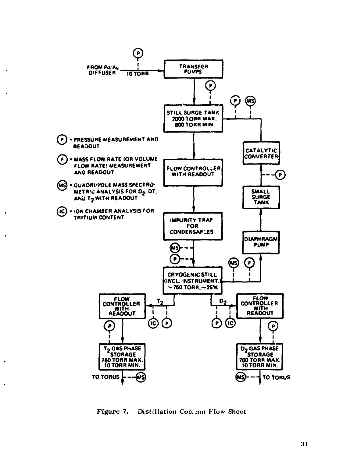

×

×,

.

Figure 7. Distillation Column Flow Sheet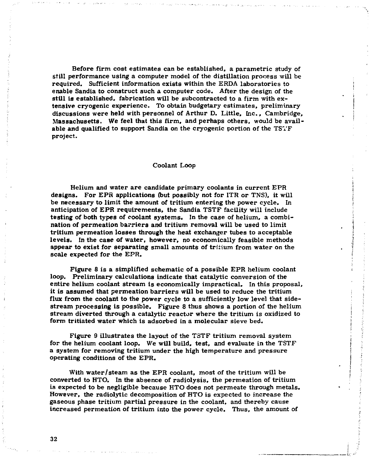**Before firm coat estimates can be established, a parametric study of still performance using a computer model of the distillation process will be required. Sufficient information exists within the ERDA laboratories to enable Sandia to construct such a computer code. After the design of the still is established, fabrication will be subcontracted to a firm with extensive cryogenic experience. To obtain budgetary estimates, preliminary discussions were held with personnel of Arthur D. Little, Inc., Cambridge, Massachusetts, We feel that this firm, and perhaps others, would be available and qualified to support Sandia on the cryogenic portion of the TSTF project.** 

### **Coolant Loop**

**Helium and water are candidate primary coolants in current EPR designs. For EPR applications (but possibly not for ITR or TNS), it will be necessary to limit the amount of tritium entering the power cycle. In anticipation of EPR requirements, the Sandia TSTF facility will include testing of both types of coolant systems. In the case of helium, a combination of permeation barriers and tritium removal will be used to limit tritium permeation losses through the heat exchanger tubes to acceptable levels. In the case of water, however, no economically feasible methods appear to exist for separating small amounts of tritium from water on the scale expected for the EPR.** 

**Figure 8 is a simplified schematic of a possible EPR helium coolant loop. Preliminary calculations indicate that catalytic conversion of the entire helium coolant stream is economically impractical. In this proposal, it is assumed that permeation barriers will be used to reduce the tritium flux from the coolant to the power cycle to a sufficiently low level that sidestream processing is possible. Figure 8 thus shows a portion of the helium stream diverted through a catalytic reactor where the tritium is oxidized to form tritiated water which is adsorbed in a molecular sieve bed.** 

**Figure 9 illustrates the layout of the TSTF tritium removal system for the helium coolant loop. We will build, test, and evaluate in the TSTF a system for removing tritium under the high temperature and pressure operating conditions of the EPR.** 

**With water/steam as the EPR coolant, most of the tritium will be converted to HTO. In the absence of radiolysis, the permeation of tritium is expected to be negligible because HTO does not permeate through metals. However, the radiolytic decomposition of HTO is expected to increase the gaseous phase tritium partial pressure in the coolant, and thereby cause increased permeation of tritium into the power cycle. Thus, the amount of** 

**32**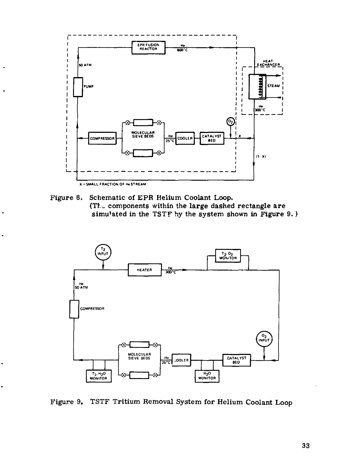

J.

٠.

Figure 8. Schematic of EPR Helium Coolant Loop. (The components within the large dashed rectangle are simulated in the TSTF by the system shown in Figure 9.)



Figure 9. TSTF Tritium Removal System for Helium Coolant Loop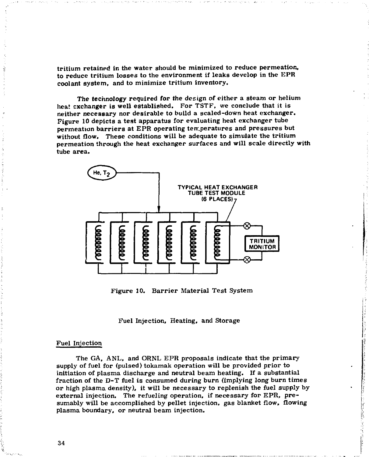**tritium retained in the water should be minimized to reduce permeation, to reduce tritium losses to the environment if leaks develop in the EPR coolant system, and to minimize tritium inventory.** 

**The technology required for the design of either a steam or helium heat exchanger is well established. For TSTF, we conclude that it is neither necessary nor desirable to build a scaled-down heat exchanger. Figure 10 depicts a test apparatus for evaluating heat exchanger tube permeation barriers at EPR operating temperatures and pressures but without flow. These conditions will be adequate to simulate the tritium permeation through the heat exchanger surfaces and will scale directly with tube area.** 



**Figure 10. Barrier Material Test System** 

**Fuel Injection, Heating, and Storage** 

#### **Fuel Injection**

**The GA, ANL, and ORNL EPR proposals indicate that the primary supply of fuel for (pulsed) tokamak operation will be provided prior to initiation of plasma discharge and neutral beam heating. If a substantial fraction of the D-T fuel is consumed during burn (implying long burn times or high plasma density), it will be necessary to replenish the fuel supply by external injection. The refueling operation, if necessary for EPR, presumably will be accomplished by pellet injection, gas blanket flow, flowing plasma boundary, or neutral beam injection.** 

**The Second Property** 

**34**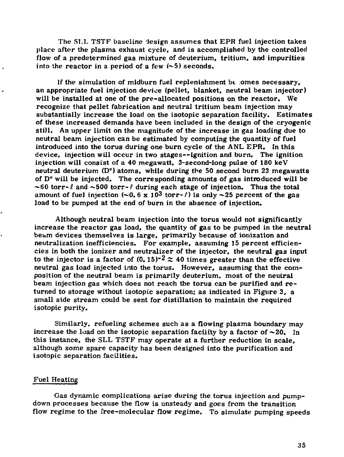The SLL TSTF baseline design assumes that EPR fuel injection takes **place after the plasma exhaust cycle, and is accomplished by the controlled flow of a predetermined gas mixture of deuterium, tritium, and impurities into the reactor in a period of a few (~5) seconds.** 

**If the simulation of midburn fuel replenishment bt omes necessary, an appropriate fuel injection devioe (pellet, blanket, neutral beam injector) will be installed at one of the pre-allocated positions on the reactor. We recognize that pellet fabrication and neutral tritium beam injection may substantially increase the load on the isotopic separation facility. Estimates of these increased demands have been included in the design of the cryogenic still. An upper limit on the magnitude of the increase in gas loading due to neutral beam injection can be estimated by computing the quantity of fuel introduced into the torus during one burn cycle of the ANL EPR. In this device, injection will occur in two stages—ignition and burn. The ignition injection will consist of a 40 megawatt, 3-second-long pulse of 180 keV neutral deuterium (D°) atoms, while during the 50 second burn 23 megawatts of D° will be injected. The corresponding amounts of gas introduced will be**   $\sim$  60 torr- $\ell$  and  $\sim$  500 torr- $\ell$  during each stage of injection. Thus the total amount of fuel injection  $(-0.6 \times 10^3 \text{ torr-}t)$  is only  $\sim$ 25 percent of the gas **load to be pumped at the end of burn in the absence of injection.** 

**Although neutral beam injection into the torus would not significantly increase the reactor gas load, the quantity of gas to be pumped in the neutral beam devices themselves is large, primarily because of ionization and neutralization inefficiencies. For example, assuming 15 percent efficiencies in both the ionizer and neutralizer of the injector, the neutral gas input**  to the injector is a factor of  $(0, 15)^{-2} \approx 40$  times greater than the effective **neutral gas load injected into the torus. However, assuming that the composition of the neutral beam is primarily deuterium, most of the neutral beam injection gas which does not reach the torus can be purified and re turned to storage without isotopic separation; as indicated in Figure 3, a small side stream could be sent for distillation to maintain the required isotopic purity.** 

**Similarly, refueling schemes such as a flowing plasma boundary may**  increase the load on the isotopic separation facility by a factor of  $\sim 20$ . In **this instance, the SLL TSTF may operate at a further reduction in scale, although some spare capacity has been designed into the purification and isotopic separation facilities.** 

### **Fuel Heating**

**Gas dynamic complications arise during the torus injection and pumpdown processes because the flow is unsteady and goes from the transition flow regime to the free-molecular flow regime. To simulate pumping speeds**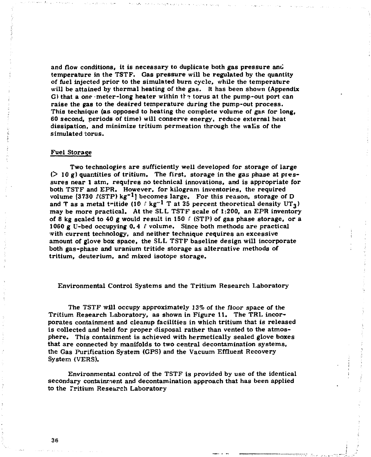**and flow conditions, it is necessary to duplicate both gas pressure anil temperature in the TSTF. Gas pressure will be regulated by the quantity of fuel injected prior to the simulated burn cycle, while the temperature will be attained by thermal heating of the gas. It has been shown (Appendix G) that a one -meter-long heater within th» torus at the pump-out port can raise the gas to the desired temperature during the pump-out process. This technique (as opposed to heating the complete volume of gas for long, 60 second, periods of time) will conserve energy, reduce external heat dissipation, and minimize tritium permeation through the walls of the simulated torus.** 

#### **Fuel Storage**

**Two technologies are sufficiently well developed for storage of large**   $($   $>$  10 g) quantities of tritium. The first, storage in the gas phase at pres**sures near 1 atm, requires no technical innovations, and is appropriate for both TSTF and EPR. However, for kilogram inventories, the required volume [3730 ^(STP) kg"<sup>1</sup> J becomes large. For this reason, storage of D and T as a metal tritide (10**  $\ell$  **kg<sup>-1</sup> T at 25** percent theoretical density UT<sub>3</sub>) **may be more practical. At the SLL TSTF scale of 1:200, an EPR inventory of 8 kg scaled to 40 g would result in 150** *I* **(STP) of gas phase storage, or a 1060 g U-bed occupying 0,4 C volume. Since both methods are practical with current technology, and neither technique requires an excessive amount of glove box space, the SLL TSTF baseline design will incorporate both gas-phase and uranium tritide storage as alternative methods of tritium, deuterium, and mixed isotope storage.** 

### **Environmental Control Systems and the Tritium Research Laboratory**

**The TSTF will occupy approximately 13% of the floor space of the Tritium Research Laboratory, as shown in Figure 11. The TRL incorporates containment and cleanup facilities in which tritium that is released is collected and held for proper disposal rather than vented to the atmosphere. This containment is achieved with hermetically sealed glove boxes that are connected by manifolds to two central decontamination systems, the Gas Purification System (GPS) and the Vacuum Effluent Recovery System (VERS).** 

**Environmental control of the TSTF is provided by use of the identical secondary containment and decontamination approach that has been applied to the Tritium Research Laboratory** 

**36**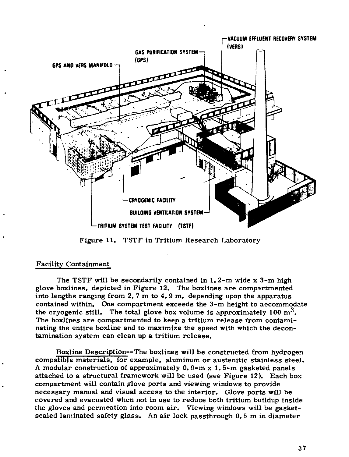

Figure 11. TSTF in Tritium Research Laboratory

### Facility Containment

The TSTF will be secondarily contained in 1. 2-m wide x 3-m high glove boxlines, depicted in Figure 12. The boxlines are compartmented into lengths ranging from 2.7  $m$  to 4.9  $m$ , depending upon the apparatus contained within. One compartment exceeds the 3-m height to accommodate the cryogenic still. The total glove box volume is approximately 100  $m^3$ . The boxlines are compartmented to keep a tritium release from contaminating the entire boxline and to maximize the speed with which the decontamination system can clean up a tritium release.

Boxline Description—The boxlines will be constructed from hydrogen compatible materials, for example, aluminum or austenitic stainless steel. A modular construction of approximately  $0.9-m \times 1.5-m$  gasketed panels attached to a structural framework will be used (see Figure 12). Each box compartment will contain glove ports and viewing windows to provide necessary manual and visual access to the interior. Glove ports will be covered and evacuated when not in use to reduce both tritium buildup inside the gloves and permeation into room air. Viewing windows will be gasketsealed laminated safety glass. An air lock passthrough 0. 5 m in diameter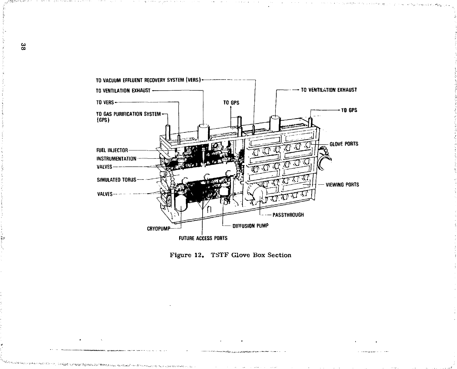

Figure 12. TSTF Glove Box Section

Refined Satisfaculty (November)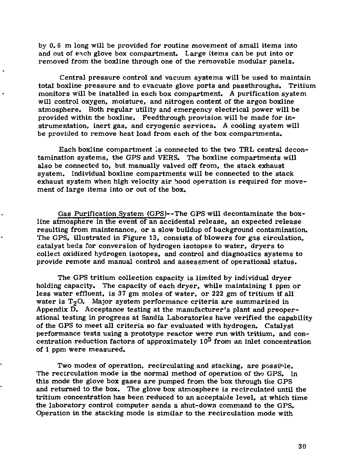by 0. 6 m long will be provided for routine movement of small items into and out of each glove box compartment. Large items can be put into or removed from the boxline through one of the removable modular panels.

Central pressure control and vacuum systems will be used to maintain total boxline pressure and to evacuate glove ports and passthroughs. Tritium monitors will be installed in each box compartment. A purification system will control oxygen, moisture, and nitrogen content of the argon boxline atmosphere. Both regular utility and emergency electrical power will be provided within the boxline. Feedthrough provision will be made for instrumentation, inert gas, and cryogenic services. A cooling system will be provided to remove heat load from each of the box compartments.

Each boxline compartment is connected to the two TRL central decontamination systems, the GPS and VERS. The boxline compartments will also be connected to, but manually valved off from, the stack exhaust system. Individual boxline compartments will be connected to the stack exhaust system when high velocity air hood operation is required for movement of large items into or out of the box.

Gas Purification System (GPS)--The GPS will decontaminate the boxline atmosphere in the event of an accidental release, an expected release resulting from maintenance, or a slow buildup of background contamination. The GPS, illustrated in Figure 13, consists of blowers for gas circulation, catalyst beds for conversion of hydrogen isotopes to water, dryers to collect oxidized hydrogen isotopes, and control and diagnostics systems to provide remote and manual control and assessment of operational status.

The GPS tritium collection capacity is limited by individual dryer holding capacity. The capacity of each dryer, while maintaining 1 ppm or less water effluent, is 37 gm moles of water, or 222 gm of tritium if all water is  $T_2O$ . Major system performance criteria are summarized in Appendix  $\overline{D}$ . Acceptance testing at the manufacturer's plant and preoperational testing in progress at Sandia Laboratories have verified the capability of the GPS to meet all criteria so far evaluated with hydrogen. Catalyst performance tests using a prototype reactor were run with tritium, and concentration reduction factors of approximately  $10^5$  from an inlet concentration of 1 ppm were measured.

Two modes of operation, recirculating and stacking, are possible. The recirculation mode is the normal method of operation of the GPS. In this mode the glove box gases are pumped from the box through the GPS and returned to the box. The glove box atmosphere is recirculated until the tritium concentration has been reduced to an acceptable level, at which time the laboratory control computer sends a shut-down command to the GPS. Operation in the stacking mode is similar to the recirculation mode with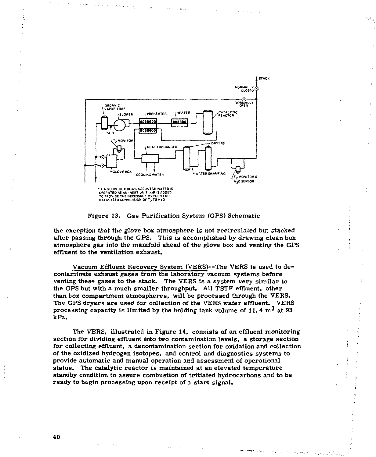

Figure 13. Gas Purification System (GPS) Schematic

the exception that the glove box atmosphere is not recirculated but stacked after passing through the GPS. This is accomplished by drawing clean box atmosphere gas into the manifold ahead of the glove box and venting the GPS effluent to the ventilation exhaust.

Vacuum Effluent Recovery System (VERS)--The VERS is used to decontaminate exhaust gases from the laboratory vacuum systems before venting these gases to the stack. The VERS is a system very similar to the GPS but with a much smaller throughput. All TSTF effluent, other than box compartment atmospheres, will be processed through the VERS. The GPS dryers are used for collection of the VERS water effluent. VERS processing capacity is limited by the holding tank volume of 11.4  $\text{m}^3$  at 93 kPa.

The VERS, illustrated in Figure 14, consists of an effluent monitoring section for dividing effluent into two contamination levels, a storage section for collecting effluent, a decontamination section for oxidation and collection of the oxidized hydrogen isotopes, and control and diagnostics systems to provide automatic and manual operation and assessment of operational status. The catalytic reactor is maintained at an elevated temperature standby condition to assure combustion of tritiated hydrocarbons and to be ready to begin processing upon receipt of a start signal.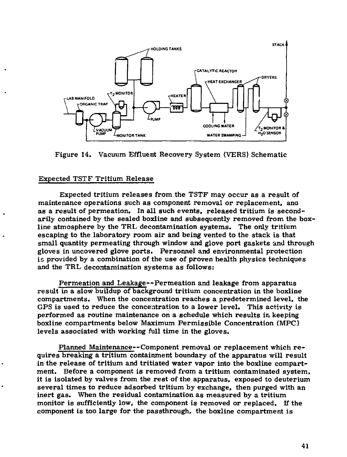

**Figure 14. Vacuum Effluent Recovery System (VERS) Schematic** 

### **Expected TSTF Tritium Release**

**Expected tritium releases from the TSTF may occur as a result of maintenance operations such as component removal or replacement, ana as a result of permeation. In all such events, released tritium is secondarily contained by the sealed boxline and subsequently removed from the boxline atmosphere by the TRL decontamination systems. The only tritium escaping to the laboratory room air and being vented to the stack is that small quantity permeating through window and glove port gaskets and through gloves in uncovered glove ports. Personnel and environmental protection is provided by a combination of the use of proven health physics techniques and the TRL decontamination systems as follows:** 

**Permeation and Leakage—Permeation and leakage from apparatus result in a slow buildup of background tritium concentration in the boxline compartments. When the concentration reaches a predetermined level, the GPS is used to reduce the concentration to a lower level. This activity is performed as routine maintenance on a schedule which results in keeping boxline compartments below Maximum Permissible Concentration (MPC) levels associated with working full time in the gloves.** 

**Planned Maintenance—Component removal or replacement which requires breaking a tritium containment boundary of the apparatus will result in the release of tritium and tritiated water vapor into the boxline compartment. Before a component is removed from a tritium contaminated system, it is isolated by valves from the rest of the apparatus, exposed to deuterium several times to reduce adsorbed tritium by exchange, then purged with an inert gas. When the residual contamination as measured by a tritium monitor is sufficiently low, the component is removed or replaced. If the component is too large for the passthrough, the boxline compartment is**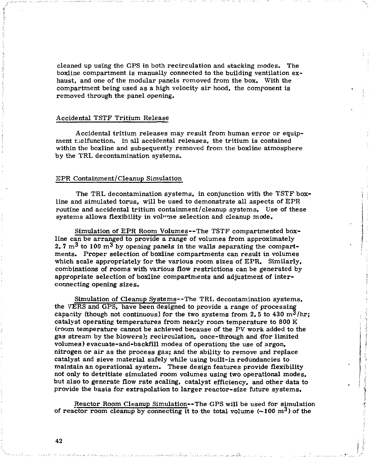cleaned up using the GPS in both recirculation and stacking modes. The boxline compartment is manually connected to the building ventilation exhaust, and one of the modular panels removed from the box. With the compartment being used as a high velocity air hood, the component is removed through the panel opening.

### Accidental TSTF Tritium Release

Accidental tritium releases may result from human error or equipment malfunction. In all accidental releases, the tritium is contained within the boxline and subsequently removed from the boxline atmosphere by the TRL decontamination systems.

### EPR Containment/Cleanup Simulation

The TRL decontamination systems, in conjunction with the TSTF boxline and simulated torus, will be used to demonstrate all aspects of EPR routine and accidental tritium containment/cleanup systems. Use of these systems allows flexibility in volvme selection and cleanup mode.

Simulation of EPR Room Volumes—The TSTF compartmented boxline can be arranged to provide a range of volumes from approximately 2. 7  $\rm m^3$  to 100  $\rm m^3$  by opening panels in the walls separating the compartments. Proper selection of boxline compartments can result in volumes which scale appropriately for the various room sizes of EPR. Similarly, combinations of rooms with various flow restrictions can be generated by appropriate selection of boxline compartments and adjustment of interconnecting opening sizes.

Simulation of Cleanup Systems—The TRL decontamination systems, the VERS and GPS, have been designed to provide a range of processing capacity (though not continuous) for the two systems from 2.5 to 430  $\mathrm{m}^3/\mathrm{hr}$ ; catalyst operating temperatures from nearly room temperature to 800 K {room temperature cannot be achieved because of the PV work added to the gas stream by the blowers); recirculation, once-through and (for limited volumes) evacuate-and-backfill modes of operation; the use of argon, nitrogen or air as the process gas; and the ability to remove and replace catalyst and sieve material safely while using built-in redundancies to maintain an operational system. These design features provide flexibility not only to detritiate simulated room volumes using two operational modes, but also to generate flow rate scaling, catalyst efficiency, and other data to provide the basis for extrapolation to larger reactor-size future systems.

Reactor Room Cleanup Simulation—The GPS will be used for simulation of reactor room cleanup by connecting it to the total volume  $(\sim 100 \text{ m}^3)$  of the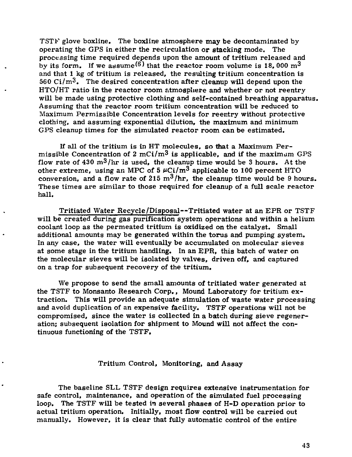TSTF glove boxline. The boxline atmosphere may be decontaminated by operating the GPS in either the recirculation or stacking mode. The processing time required depends upon the amount of tritium released and by its form. If we assume<sup> $(6)$ </sup> that the reactor room volume is 18, 000 m<sup>3</sup> and that 1 kg of tritium is released, the resulting tritium concentration is 560 Ci/m<sup>3</sup>. The desired concentration after cleanup will depend upon the HTO/HT ratio in the reactor room atmosphere and whether or not reentry will be made using protective clothing and self-contained breathing apparatus. Assuming that the reactor room tritium concentration will be reduced to Maximum Permissible Concentration levels for reentry without protective clothing, and assuming exponential dilution, the maximum and minimum GPS cleanup times for the simulated reactor room can be estimated.

If all of the tritium is in HT molecules, so that a Maximum Permissible Concentration of  $2 \text{ mCi/m}^3$  is applicable, and if the maximum GPS flow rate of  $430 \text{ m}^3/\text{hr}$  is used, the cleanup time would be 3 hours. At the other extreme, using an MPC of  $5 \mu$ Ci/m<sup>3</sup> applicable to 100 percent HTO conversion, and a flow rate of 215 m<sup>3</sup>/hr, the cleanup time would be 9 hours. These times are similar to those required for cleanup of a full scale reactor hall.

Tritiated Water Recycle/Disposal—Tritiated water at an EPR or TSTF will be created during gas purification system operations and within a helium coolant loop as the permeated tritium is oxidized on the catalyst. Small additional amounts may be generated within the torus and pumping system. In any case, the water will eventually be accumulated on molecular sieves at some stage in the tritium handling. In an EPR, this batch of water on the molecular sieves will be isolated by valves, driven off, and captured on a trap for subsequent recovery of the tritium.

We propose to send the small amounts of tritiated water generated at the TSTF to Monsanto Research Corp., Mound Laboratory for tritium extraction. This will provide an adequate simulation of waste water processing and avoid duplication of an expensive facility. TSTF operations will not be compromised, since the water is collected in a batch during sieve regeneration; subsequent isolation for shipment to Mound will not affect the continuous functioning of the TSTF.

### Tritium Control, Monitoring, and Assay

The baseline SLL TSTF design requires extensive instrumentation for safe control, maintenance, and operation of the simulated fuel processing loop. The TSTF will be tested in several phases of H-D operation prior to actual tritium operation. Initially, most flow control will be carried out manually. However, it is clear that fully automatic control of the entire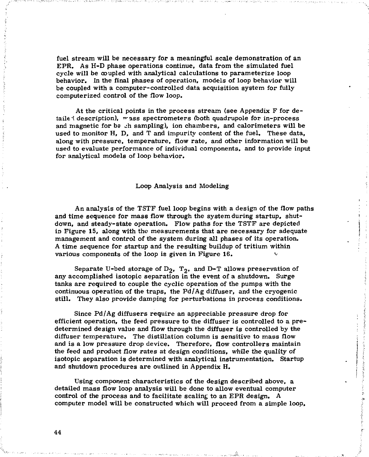fuel stream will be necessary for a meaningful scale demonstration of an EPR. As H-D phase operations continue, data from the simulated fuel cycle will be coupled with analytical calculations to parameterize loop behavior. In the final phases of operation, models of loop behavior will be coupled with a computer-controlled data acquisition system for fully computerized control of the flow loop.

At the critical points in the process stream (see Appendix F for detailed description),  $_{\text{mass}}$  spectrometers (both quadrupole for in-process and magnetic for be ch sampling), ion chambers, and calorimeters will be used to monitor H, D, and T and impurity content of the fuel. These data, along with pressure, temperature, flow rate, and other information will be used to evaluate performance of individual components, and to provide input for analytical models of loop behavior.

#### Loop Analysis and Modeling

An analysis of the TSTF fuel loop begins with a design of the flow paths and time sequence for mass flow through the system during startup, shutdown, and steady-state operation. Flow paths for the TSTF are depicted in Figure 15, along with the measurements that are necessary for adequate management and control of the system during all phases of its operation. A time sequence for startup and the resulting buildup of tritium within various components of the loop is given in Figure 16.

Separate U-bed storage of  $D_2$ ,  $T_2$ , and D-T allows preservation of any accomplished isotopic separation in the event of a shutdown. Surge tanks are required to couple the cyclic operation of the pumps with the continuous operation of the traps, the  $Pd/Ag$  diffuser, and the cryogenic still. They also provide damping for perturbations in process conditions.

Since Pd/Ag diffusers require an appreciable pressure drop for efficient operation, the feed pressure to the diffuser is controlled to a pre determined design value and flow through the diffuser is controlled by the diffuser temperature. The distillation column is sensitive to mass flow and is a low pressure drop device. Therefore, flow controllers maintain the feed and product flow rates at design conditions, while the quality of isotopic separation is determined with analytical instrumentation. Startup and shutdown procedures are outlined in Appendix H.

Using component characteristics of the design described above, a detailed mass flow loop analysis will be done to allow eventual computer control of the process and to facilitate scaling to an EPR design. A computer model will be constructed which will proceed from a simple loop.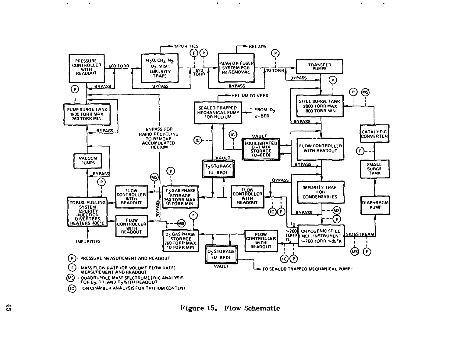

 $\bullet$ 

 $\alpha$ 

 $\bullet$ 

 $\bullet$ 

 $\bullet$ 

 $\bullet$ 

Figure 15. Flow Schematic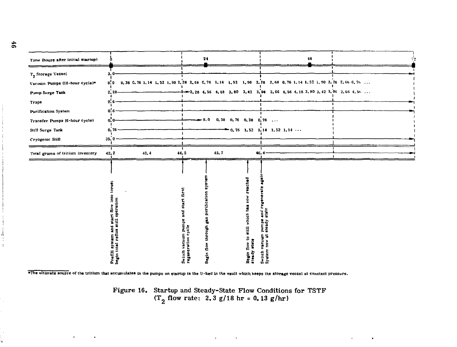| Time (hours after initial startup)                                                                                                                                     |                                                                               | 24                                                                                                                             |                                                              | 48                                                                                                                                                                                                                               |  |
|------------------------------------------------------------------------------------------------------------------------------------------------------------------------|-------------------------------------------------------------------------------|--------------------------------------------------------------------------------------------------------------------------------|--------------------------------------------------------------|----------------------------------------------------------------------------------------------------------------------------------------------------------------------------------------------------------------------------------|--|
| T <sub>2</sub> Storage Vessel<br>Vacuum Pumps (18-hour cycle)*<br>Pamp Surge Tank<br>Тгарь<br>Purification System<br>Transfer Pumps (6-hour cycle)<br>Still Surge Tank | 3.0<br>0.0<br>2.28<br>0.6<br>0. G<br>0.0<br>0.76                              | - 0.0                                                                                                                          | $0.38$ $0.76$ $0.38$ $0.76$ $\ldots$                         | $0.38$ 0.76 1.14 1.52 1.90 2.28 2.66 0.76 1.14 1.52 1.90 2.28 2.66 0.76 1.14 1.52 1.90 2.28 2.66 0.76<br>$+$ - 2, 28 4, 56 4, 18 3, 80 3, 42 3, 04 2, 66 4, 56 4, 18 3, 80 3, 42 3, 04 2, 66 4, 56<br>$0.75$ 1.52 1.14 1.52 1.14 |  |
| Cryogenic Still                                                                                                                                                        | 35.0                                                                          |                                                                                                                                |                                                              |                                                                                                                                                                                                                                  |  |
| Total grams of tritium inventory                                                                                                                                       | 42.2<br>43.4                                                                  | 45.7<br>44.5                                                                                                                   | 46.4                                                         |                                                                                                                                                                                                                                  |  |
|                                                                                                                                                                        | ē<br>Prefill system and start flow into<br>begin total reflux still operation | Begin flow through gas purification syst<br>first<br><b>Start</b><br>Ĕ<br>m pumpe<br>cycle<br>vacuum<br>regeneration<br>Switch | reached<br>Begin flow to still which has now<br>steady state | and:<br>state<br>pumps<br>steady<br>ä<br>Switch vacuu<br>Syatem now a                                                                                                                                                            |  |

\*The ultimate source of the tritium that accumulates in the pumps on startup is the U-bed in the vault which keeps the storage vessel at constant pressure.

Figure 16. Startup and Steady-State Flow Conditions for TSTF  $(T_q \text{ flow rate: } 2.3 \text{ g}/18 \text{ hr} = 0.13 \text{ g/hr})$ 

 $\mathcal{L}(\mathcal{L}(\mathcal{L}(\mathcal{L}(\mathcal{L}(\mathcal{L}(\mathcal{L}(\mathcal{L}(\mathcal{L}(\mathcal{L}(\mathcal{L}(\mathcal{L}(\mathcal{L}(\mathcal{L}(\mathcal{L}(\mathcal{L}(\mathcal{L}(\mathcal{L}(\mathcal{L}(\mathcal{L}(\mathcal{L}(\mathcal{L}(\mathcal{L}(\mathcal{L}(\mathcal{L}(\mathcal{L}(\mathcal{L}(\mathcal{L}(\mathcal{L}(\mathcal{L}(\mathcal{L}(\mathcal{L}(\mathcal{L}(\mathcal{L}(\mathcal{L}(\mathcal{L}(\mathcal{$ 

 $\mathbf{w} = \mathbf{w} \times \mathbf{w}$  .

Ĥ.

**All Contract Contract**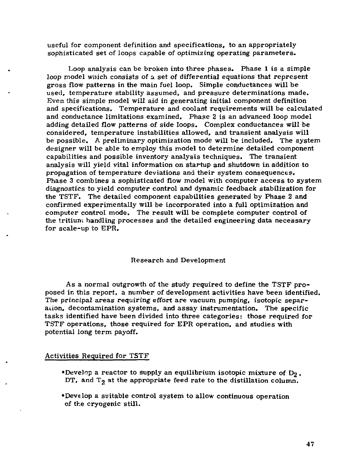useful for component definition and specifications, to an appropriately sophisticated set of loops capable of optimizing operating parameters.

Loop analysis can be broken into three phases. Phase 1 is a simple loop model which consists of a set of differential equations that represent gross flow patterns in the main fuel loop. Simple conductances will be used, temperature stability assumed, and pressure determinations made. Even this simple model will aid in generating initial component definition and specifications. Temperature and coolant requirements will be calculated and conductance limitations examined. Phase 2 is an advanced loop model adding detailed flow patterns of side loops. Complex conductances will be considered, temperature instabilities allowed, and transient analysis will be possible. A preliminary optimization mode will be included. The system designer will be able to employ this model to determine detailed component capabilities and possible inventory analysis techniques. The transient analysis will yield vital information on startup and shutdown in addition to propagation of temperature deviations and their system consequences. Phase 3 combines a sophisticated flow model with computer access to system diagnostics to yield computer control and dynamic feedback stabilization for the TSTF. The detailed component capabilities generated by Phase 2 and confirmed experimentally will be incorporated into a full optimization and computer control mode. The result will be complete computer control of the tritium handling processes and the detailed engineering data necessary for scale-up to EPR.

### Research and Development

As a normal outgrowth of the study required to define the TSTF proposed in this report, a number of development activities have been identified. The principal areas requiring effort are vacuum pumping, isotopic separation, decontamination systems, and assay instrumentation. The specific tasks identified have been divided into three categories: those required for TSTF operations, those required for EPR operation, and studies with potential long term payoff.

### Activities Required for TSTF

- •Develop a reactor to supply an equilibrium isotopic mixture of  $D_2$ ,  $DT$ , and  $T<sub>2</sub>$  at the appropriate feed rate to the distillation column.
- •Develop a suitable control system to allow continuous operation of the cryogenic still.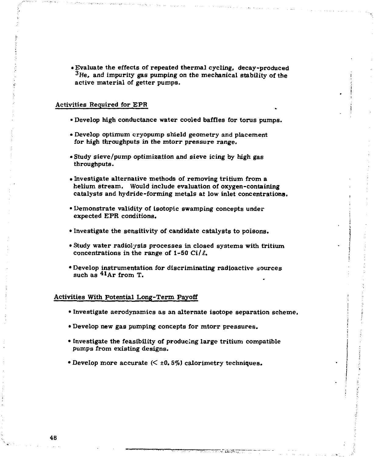**• Evaluate the effects of repeated thermal cycling, decay-produced 3 He, and impurity gas pumping on the mechanical stability of the active material of getter pumps.** 

### **Activities Required for EPR**

- **Develop high conductance water cooled baffles for torus pumps.**
- **Develop optimum cryopump shield geometry and placement for high throughputs in the mtorr pressure range.**
- **Study sieve/pump optimization and sieve icing by high gas throughputs.**
- **Investigate alternative methods of removing tritium from a helium stream. Would include evaluation of oxygen-containing catalysts and hydride-forming metals at low inlet concentrations.**
- **Demonstrate validity of isotopic swamping concepts under expected EPR conditions.**
- **Investigate the sensitivity of candidate catalysts to poisons.**
- **Study water radiolysis processes in closed systems with tritium**  concentrations in the range of 1-50 Ci/ $\ell$ .
- **Develop instrumentation for discriminating radioactive sources**  such as  $41Ar$  from T.

### **Activities With Potential Long-Term Payoff**

- **Investigate aerodynamics as an alternate isotope separation scheme.**
- **Develop new gas pumping concepts for mtorr pressures.**
- **Investigate the feasibility of producing large tritium compatible pumps from existing designs.**
- $\bullet$  Develop more accurate  $\left(\leq \pm 0.5\% \right)$  calorimetry techniques.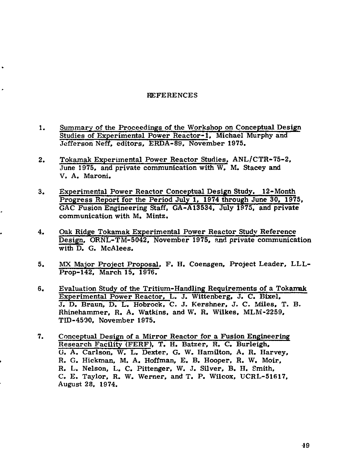### REFERENCES

- $1.$ Summary of the Proceedings of the Workshop on Conceptual Design Studies of Experimental Power Reactor-1, Michael Murphy and Jefferson Neff, editors, ERDA-89, November 1975.
- Tokamak Experimental Power Reactor Studies, ANL/CTR-75-2,  $2.$ June 1975, and private communication with W, M. Stacey and V. A. Maroni.
- Experimental Power Reactor Conceptual Design Study. 12-Month 3. Progress Report for the Period July 1, 1974 through June 30, 1975, GAC Fusion Engineering Staff, GA-A13534, July 1975, and private communication with M. Mintz.
- $4.$ Oak Ridge Tokamak Experimental Power Reactor Study Reference Design. ORNL-TM-5042, November 1975, and private communication with D. G. McAlees.
- MX Major Project Proposal. F. H. Coensgen, Project Leader, LLL-5. Prop-142. March 15, 1976.
- $6.$ Evaluation Study of the Tritium-Handling Requirements of a Tokamak Experimental Power Reactor, L. J. Wittenberg, J. C. Bixel, J. D. Braun, D. L. Hobrock, C. J. Kershner, J. C. Mies, T. B. Rhinehammer, R. A. Watkins, and W. R. Wilkes, MLM-2259. TID-4500, November 1975.
- 7. Conceptual Design of a Mirror Reactor for a Fusion Engineering Research Facility (FERF). T. H. Batzer, R. C. Burleigh, G. A. Carlson. W. L. Dexter, G. W. Hamilton, A, R. Harvey, R. G. Hickman, M. A. Hoffman, E. B. Hooper, R. W. Moir, R. L. Nelson, L. C. Pittenger, W. J. Silver, B. H. Smith. C. E. Taylor, R. W. Werner, and T. P. Wilcox, UCRL-51617. August 28, 1974.